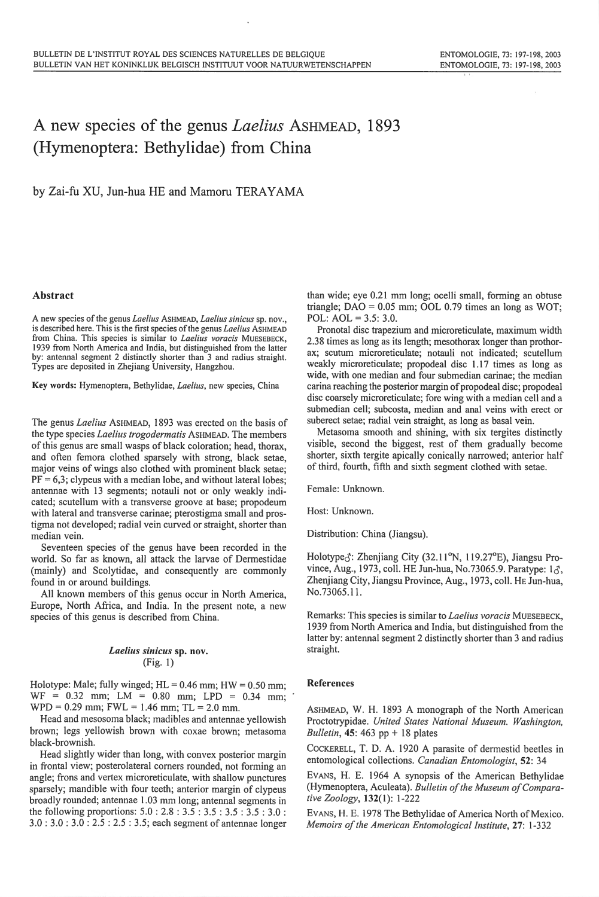## A new species of the genus *Laelius* AsHMEAD, 1893 (Hymenoptera: Bethylidae) from China

by Zai-fu XU, Jun-hua HE and Mamoru TERA YAMA

## Abstract

A new species of the genus *Laelius* ASHMEAD, *Laelius sinicus* sp. nov., is described here. This is the first species of the genus *Laelius* ASHMEAD from China. This species is similar to *Laelius voracis* MUESEBECK, 1939 from North America and India, but distinguished from the latter by: antennal segment 2 distinctly shorter than 3 and radius straight. Types are deposited in Zhejiang University, Hangzhou.

Key words: Hymenoptera, Bethylidae, *Laelius,* <sup>n</sup>ew species, China

The genus *Lae!ius* ASHMEAD, 1893 was erected on the basis of the type species *Lae!ius trogodermatis* ASHMEAD. The members of this genus are small wasps of black coloration; head, thorax, and often femora clothed sparsely with strong, black setae, major veins of wings also clothed with prominent black setae;  $PF = 6,3$ ; clypeus with a median lobe, and without lateral lobes; antennae with 13 segments; notauli not or only weakly indicated; scutellum with a transverse groove at base; propodeum with lateral and transverse carinae; pterostigma small and prostigma not developed; radial vein curved or straight, shorter than median vein.

Seventeen species of the genus have been recorded in the world. So far as known, all attack the larvae of Dermestidae (mainly) and Scolytidae, and consequently are commonly found in or around buildings.

All known members of this genus occur in North America, Europe, North Africa, and India. In the present note, a new species of this genus is described from China.

## *Laelius sinicus* sp. nov. (Fig. I)

Holotype: Male; fully winged;  $HL = 0.46$  mm;  $HW = 0.50$  mm;  $WF = 0.32$  mm;  $LM = 0.80$  mm;  $LPD = 0.34$  mm;  $WPD = 0.29$  mm;  $FWL = 1.46$  mm;  $TL = 2.0$  mm.

Head and mesosoma black; madibles and antennae yellowish brown; legs yellowish brown with coxae brown; metasoma black-brownish.

Head slightly wider than long, with convex posterior margin in frontal view; posterolateral corners rounded, not forming an angle; frons and vertex microreticulate, with shallow punctures sparsely; mandible with four teeth; anterior margin of clypeus broadly rounded; antennae 1.03 mm long; antennal segments in the following proportions: 5.0 : 2.8 : 3.5 : 3.5 : 3.5 : 3.5 : 3.0 : 3.0: 3.0: 3.0: 2.5: 2.5: 3.5; each segment of antennae longer than wide; eye 0.21 mm long; ocelli small, forming an obtuse triangle;  $DAO = 0.05$  mm;  $OOL$  0.79 times an long as WOT; POL: AOL = 3.5: 3.0.

Pronotal disc trapezium and microreticulate, maximum width 2.38 times as long as its leng<sup>t</sup>h; mesothorax longer than prothorax; scutum microreticulate; notauli not indicated; scutellum weakly microreticulate; propodeal disc 1.17 times as long as wide, with one median and four submedian carinae; the median carina reaching the posterior margin of propodeal disc; propodeal disc coarsely microreticulate; fore wing with a median cell and a submedian cell; subcosta, median and anal veins with erect or suberect setae; radial vein straight, as long as basal vein.

Metasoma smooth and shining, with six tergites distinctly visible, second the biggest, rest of them gradually become shorter, sixth tergite apically conically narrowed; anterior half of third, fourth, fifth and sixth segment clothed with setae.

Female: Unknown.

Host: Unknown.

Distribution: China (Jiangsu).

Holotype $\delta$ : Zhenjiang City (32.11°N, 119.27°E), Jiangsu Province, Aug., 1973, coll. HE Jun-hua, No.73065.9. Paratype:  $1\delta$ , Zhenjiang City, Jiangsu Province, Aug., 1973, coll. HE Jun-hua, No.73065.11.

Remarks: This species is similar to *Laelius voracis* MUESEBECK, 1939 from North America and India, but distinguished from the latter by: antennal segment 2 distinctly shorter than 3 and radius straight.

## References

ASHMEAD, W. H. 1893 A monograph of the North American Proctotrypidae. *United States National Museum. Washington, Bulletin*, **45**: 463 pp + 18 plates

CoCKERELL, T. D. A. 1920 A parasite of dermestid beetles in entomological collections. *Canadian Entomologist,* 52: 34

EVANS, H. E. 1964 A synopsis of the American Bethylidae (Hymenoptera, Aculeata). *Bulletin of the Museum of Comparative Zoology,* 132( I): 1-222

EVANS, H. E. 1978 The Bethylidae of America North of Mexico. *Memoirs of the American Entomological Institute,* 27: 1-332